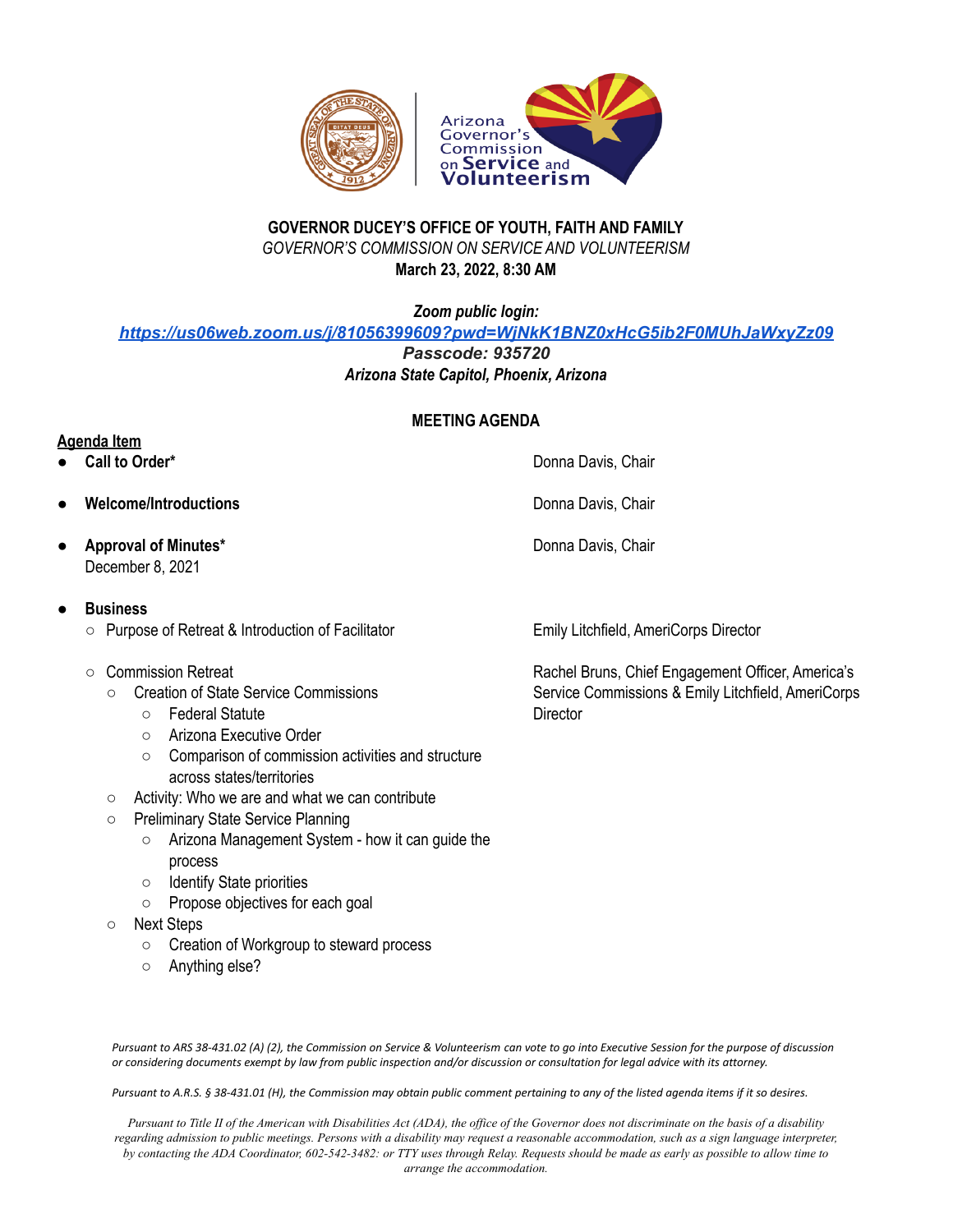



## **GOVERNOR DUCEY'S OFFICE OF YOUTH, FAITH AND FAMILY** *GOVERNOR'S COMMISSION ON SERVICE AND VOLUNTEERISM* **March 23, 2022, 8:30 AM**

*Zoom public login:*

*<https://us06web.zoom.us/j/81056399609?pwd=WjNkK1BNZ0xHcG5ib2F0MUhJaWxyZz09>*

*Passcode: 935720*

*Arizona State Capitol, Phoenix, Arizona*

## **MEETING AGENDA**

**Agenda Item**

- **Call to Order\*** Donna Davis, Chair
- **Welcome/Introductions Chair Chair Donna Davis, Chair Donna Davis, Chair**
- **Approval of Minutes\*** December 8, 2021

## **● Business**

- Purpose of Retreat & Introduction of Facilitator
- Commission Retreat
	- Creation of State Service Commissions
		- Federal Statute
		- Arizona Executive Order
		- Comparison of commission activities and structure across states/territories
	- Activity: Who we are and what we can contribute
	- Preliminary State Service Planning
		- Arizona Management System how it can guide the process
		- Identify State priorities
		- Propose objectives for each goal
	- Next Steps
		- Creation of Workgroup to steward process
		- Anything else?

Emily Litchfield, AmeriCorps Director

Donna Davis, Chair

Rachel Bruns, Chief Engagement Officer, America's Service Commissions & Emily Litchfield, AmeriCorps **Director** 

Pursuant to ARS 38-431.02 (A) (2), the Commission on Service & Volunteerism can vote to go into Executive Session for the purpose of discussion or considering documents exempt by law from public inspection and/or discussion or consultation for legal advice with its attorney.

Pursuant to A.R.S. § 38-431.01 (H), the Commission may obtain public comment pertaining to any of the listed agenda items if it so desires.

Pursuant to Title II of the American with Disabilities Act (ADA), the office of the Governor does not discriminate on the basis of a disability regarding admission to public meetings. Persons with a disability may request a reasonable accommodation, such as a sign language interpreter, by contacting the ADA Coordinator, 602-542-3482: or TTY uses through Relay. Requests should be made as early as possible to allow time to *arrange the accommodation.*